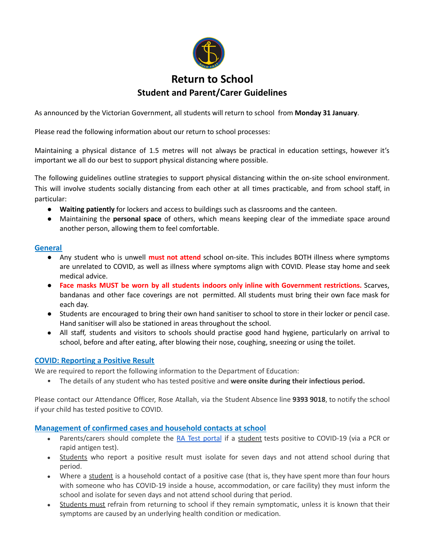

As announced by the Victorian Government, all students will return to school from **Monday 31 January**.

Please read the following information about our return to school processes:

Maintaining a physical distance of 1.5 metres will not always be practical in education settings, however it's important we all do our best to support physical distancing where possible.

The following guidelines outline strategies to support physical distancing within the on-site school environment. This will involve students socially distancing from each other at all times practicable, and from school staff, in particular:

- **Waiting patiently** for lockers and access to buildings such as classrooms and the canteen.
- Maintaining the **personal space** of others, which means keeping clear of the immediate space around another person, allowing them to feel comfortable.

## **General**

- Any student who is unwell **must not attend** school on-site. This includes BOTH illness where symptoms are unrelated to COVID, as well as illness where symptoms align with COVID. Please stay home and seek medical advice.
- **Face masks MUST be worn by all students indoors only inline with Government restrictions.** Scarves, bandanas and other face coverings are not permitted. All students must bring their own face mask for each day.
- Students are encouraged to bring their own hand sanitiser to school to store in their locker or pencil case. Hand sanitiser will also be stationed in areas throughout the school.
- All staff, students and visitors to schools should practise good hand hygiene, particularly on arrival to school, before and after eating, after blowing their nose, coughing, sneezing or using the toilet.

## **COVID: Reporting a Positive Result**

We are required to report the following information to the Department of Education:

• The details of any student who has tested positive and **were onsite during their infectious period.**

Please contact our Attendance Officer, Rose Atallah, via the Student Absence line **9393 9018**, to notify the school if your child has tested positive to COVID.

## **Management of confirmed cases and household contacts at school**

- Parents/carers should complete the RA Test [portal](https://covidtest.educationapps.vic.gov.au/) if a student tests positive to COVID-19 (via a PCR or rapid antigen test).
- Students who report a positive result must isolate for seven days and not attend school during that period.
- Where a student is a household contact of a positive case (that is, they have spent more than four hours with someone who has COVID-19 inside a house, accommodation, or care facility) they must inform the school and isolate for seven days and not attend school during that period.
- Students must refrain from returning to school if they remain symptomatic, unless it is known that their symptoms are caused by an underlying health condition or medication.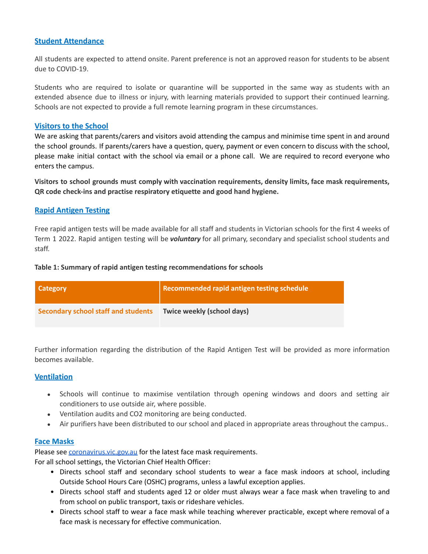## **Student Attendance**

All students are expected to attend onsite. Parent preference is not an approved reason for students to be absent due to COVID-19.

Students who are required to isolate or quarantine will be supported in the same way as students with an extended absence due to illness or injury, with learning materials provided to support their continued learning. Schools are not expected to provide a full remote learning program in these circumstances.

## **Visitors to the School**

We are asking that parents/carers and visitors avoid attending the campus and minimise time spent in and around the school grounds. If parents/carers have a question, query, payment or even concern to discuss with the school, please make initial contact with the school via email or a phone call. We are required to record everyone who enters the campus.

**Visitors to school grounds must comply with vaccination requirements, density limits, face mask requirements, QR code check-ins and practise respiratory etiquette and good hand hygiene.**

# **Rapid Antigen Testing**

Free rapid antigen tests will be made available for all staff and students in Victorian schools for the first 4 weeks of Term 1 2022. Rapid antigen testing will be *voluntary* for all primary, secondary and specialist school students and staff.

## **Table 1: Summary of rapid antigen testing recommendations for schools**

| Category                                   | Recommended rapid antigen testing schedule |
|--------------------------------------------|--------------------------------------------|
| <b>Secondary school staff and students</b> | Twice weekly (school days)                 |

Further information regarding the distribution of the Rapid Antigen Test will be provided as more information becomes available.

# **Ventilation**

- Schools will continue to maximise ventilation through opening windows and doors and setting air conditioners to use outside air, where possible.
- Ventilation audits and CO2 monitoring are being conducted.
- Air purifiers have been distributed to our school and placed in appropriate areas throughout the campus..

# **Face Masks**

Please see *[coronavirus.vic.gov.au](https://www.coronavirus.vic.gov.au/face-masks)* for the latest face mask requirements.

For all school settings, the Victorian Chief Health Officer:

- Directs school staff and secondary school students to wear a face mask indoors at school, including Outside School Hours Care (OSHC) programs, unless a lawful exception applies.
- Directs school staff and students aged 12 or older must always wear a face mask when traveling to and from school on public transport, taxis or rideshare vehicles.
- Directs school staff to wear a face mask while teaching wherever practicable, except where removal of a face mask is necessary for effective communication.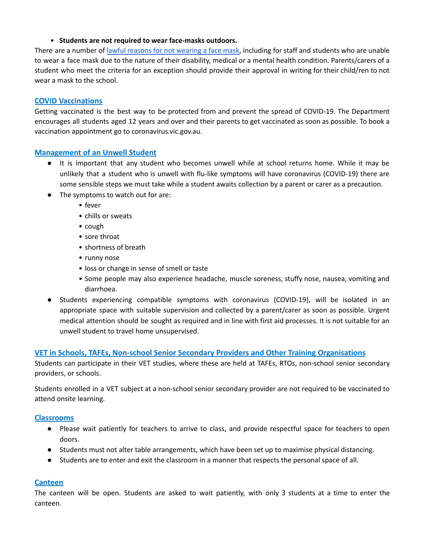## • **Students are not required to wear face-masks outdoors.**

There are a number of lawful reasons for not [wearing](https://www.coronavirus.vic.gov.au/face-masks-when-wear-face-mask#exceptions-for-not-wearing-a-face-mask) a face mask, including for staff and students who are unable to wear a face mask due to the nature of their disability, medical or a mental health condition. Parents/carers of a student who meet the criteria for an exception should provide their approval in writing for their child/ren to not wear a mask to the school.

# **COVID Vaccinations**

Getting vaccinated is the best way to be protected from and prevent the spread of COVID-19. The Department encourages all students aged 12 years and over and their parents to get vaccinated as soon as possible. To book a vaccination appointment go to coronavirus.vic.gov.au.

# **Management of an Unwell Student**

- It is important that any student who becomes unwell while at school returns home. While it may be unlikely that a student who is unwell with flu-like symptoms will have coronavirus (COVID-19) there are some sensible steps we must take while a student awaits collection by a parent or carer as a precaution.
- The symptoms to watch out for are:
	- fever
	- chills or sweats
	- cough
	- sore throat
	- shortness of breath
	- runny nose
	- loss or change in sense of smell or taste
	- Some people may also experience headache, muscle soreness, stuffy nose, nausea, vomiting and diarrhoea.
- Students experiencing compatible symptoms with coronavirus (COVID-19), will be isolated in an appropriate space with suitable supervision and collected by a parent/carer as soon as possible. Urgent medical attention should be sought as required and in line with first aid processes. It is not suitable for an unwell student to travel home unsupervised.

# **VET in Schools, TAFEs, Non-school Senior Secondary Providers and Other Training Organisations**

Students can participate in their VET studies, where these are held at TAFEs, RTOs, non-school senior secondary providers, or schools.

Students enrolled in a VET subject at a non-school senior secondary provider are not required to be vaccinated to attend onsite learning.

## **Classrooms**

- Please wait patiently for teachers to arrive to class, and provide respectful space for teachers to open doors.
- Students must not alter table arrangements, which have been set up to maximise physical distancing.
- Students are to enter and exit the classroom in a manner that respects the personal space of all.

# **Canteen**

The canteen will be open. Students are asked to wait patiently, with only 3 students at a time to enter the canteen.